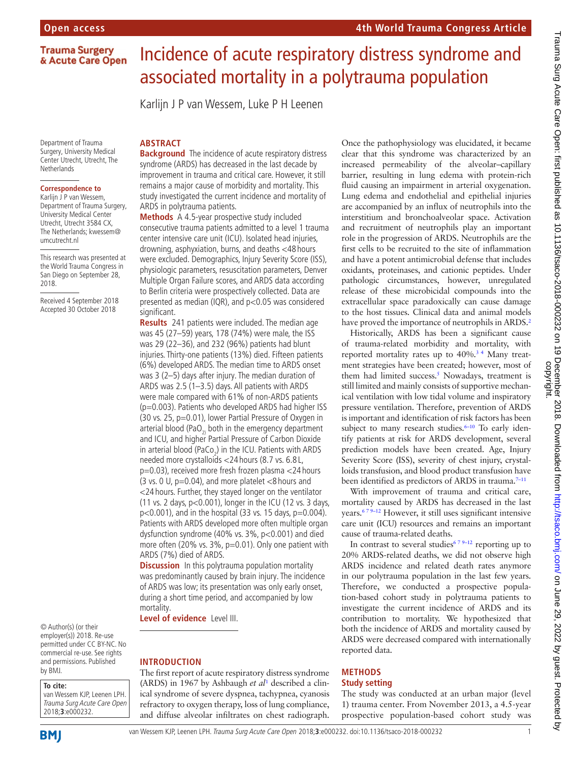**4th World Trauma Congress Article**

## **Trauma Surgery** & Acute Care Open

Department of Trauma Surgery, University Medical Center Utrecht, Utrecht, The **Netherlands** 

# **Correspondence to**

Karlijn J P van Wessem, Department of Trauma Surgery, University Medical Center Utrecht, Utrecht 3584 CX, The Netherlands; kwessem@ umcutrecht.nl

This research was presented at the World Trauma Congress in San Diego on September 28, 2018.

Received 4 September 2018 Accepted 30 October 2018

#### © Author(s) (or their employer(s)) 2018. Re-use permitted under CC BY-NC. No commercial re-use. See rights and permissions. Published by BMJ.

#### **To cite:**

**BMI** 

van Wessem KJP, Leenen LPH. Trauma Surg Acute Care Open 2018;**3**:e000232.

# Incidence of acute respiratory distress syndrome and associated mortality in a polytrauma population

Karlijn J P van Wessem, Luke P H Leenen

## **ARSTRACT**

**Background** The incidence of acute respiratory distress syndrome (ARDS) has decreased in the last decade by improvement in trauma and critical care. However, it still remains a major cause of morbidity and mortality. This study investigated the current incidence and mortality of ARDS in polytrauma patients.

**Methods** A 4.5-year prospective study included consecutive trauma patients admitted to a level 1 trauma center intensive care unit (ICU). Isolated head injuries, drowning, asphyxiation, burns, and deaths <48 hours were excluded. Demographics, Injury Severity Score (ISS), physiologic parameters, resuscitation parameters, Denver Multiple Organ Failure scores, and ARDS data according to Berlin criteria were prospectively collected. Data are presented as median (IQR), and p<0.05 was considered significant.

**Results** 241 patients were included. The median age was 45 (27–59) years, 178 (74%) were male, the ISS was 29 (22–36), and 232 (96%) patients had blunt injuries. Thirty-one patients (13%) died. Fifteen patients (6%) developed ARDS. The median time to ARDS onset was 3 (2–5) days after injury. The median duration of ARDS was 2.5 (1–3.5) days. All patients with ARDS were male compared with 61% of non-ARDS patients (p=0.003). Patients who developed ARDS had higher ISS (30 vs. 25, p=0.01), lower Partial Pressure of Oxygen in arterial blood (PaO<sub> $2$ </sub> both in the emergency department and ICU, and higher Partial Pressure of Carbon Dioxide in arterial blood (PaCo<sub>2</sub>) in the ICU. Patients with ARDS needed more crystalloids <24 hours (8.7 vs. 6.8 L, p=0.03), received more fresh frozen plasma <24 hours (3 vs. 0 U,  $p=0.04$ ), and more platelet <8 hours and <24 hours. Further, they stayed longer on the ventilator (11 vs. 2 days, p<0.001), longer in the ICU (12 vs. 3 days,  $p<0.001$ ), and in the hospital (33 vs. 15 days,  $p=0.004$ ). Patients with ARDS developed more often multiple organ dysfunction syndrome (40% vs. 3%, p<0.001) and died more often (20% vs. 3%, p=0.01). Only one patient with ARDS (7%) died of ARDS.

**Discussion** In this polytrauma population mortality was predominantly caused by brain injury. The incidence of ARDS was low; its presentation was only early onset, during a short time period, and accompanied by low mortality.

**Level of evidence** Level III.

#### **Introduction**

The first report of acute respiratory distress syndrome (ARDS) in 1967 by Ashbaugh *et al*<sup>1</sup> described a clinical syndrome of severe dyspnea, tachypnea, cyanosis refractory to oxygen therapy, loss of lung compliance, and diffuse alveolar infiltrates on chest radiograph.

Once the pathophysiology was elucidated, it became clear that this syndrome was characterized by an increased permeability of the alveolar–capillary barrier, resulting in lung edema with protein-rich fluid causing an impairment in arterial oxygenation. Lung edema and endothelial and epithelial injuries are accompanied by an influx of neutrophils into the interstitium and bronchoalveolar space. Activation and recruitment of neutrophils play an important role in the progression of ARDS. Neutrophils are the first cells to be recruited to the site of inflammation and have a potent antimicrobial defense that includes oxidants, proteinases, and cationic peptides. Under pathologic circumstances, however, unregulated release of these microbicidal compounds into the extracellular space paradoxically can cause damage to the host tissues. Clinical data and animal models have proved the importance of neutrophils in ARDS.<sup>2</sup>

Historically, ARDS has been a significant cause of trauma-related morbidity and mortality, with reported mortality rates up to 40%.[3 4](#page-4-1) Many treatment strategies have been created; however, most of them had limited success.<sup>5</sup> Nowadays, treatment is still limited and mainly consists of supportive mechanical ventilation with low tidal volume and inspiratory pressure ventilation. Therefore, prevention of ARDS is important and identification of risk factors has been subject to many research studies.<sup>6-10</sup> To early identify patients at risk for ARDS development, several prediction models have been created. Age, Injury Severity Score (ISS), severity of chest injury, crystalloids transfusion, and blood product transfusion have been identified as predictors of ARDS in trauma.<sup>7-11</sup>

With improvement of trauma and critical care, mortality caused by ARDS has decreased in the last years[.6 7 9–12](#page-4-3) However, it still uses significant intensive care unit (ICU) resources and remains an important cause of trauma-related deaths.

In contrast to several studies<sup>679-12</sup> reporting up to 20% ARDS-related deaths, we did not observe high ARDS incidence and related death rates anymore in our polytrauma population in the last few years. Therefore, we conducted a prospective population-based cohort study in polytrauma patients to investigate the current incidence of ARDS and its contribution to mortality. We hypothesized that both the incidence of ARDS and mortality caused by ARDS were decreased compared with internationally reported data.

# **Methods**

#### **Study setting**

The study was conducted at an urban major (level 1) trauma center. From November 2013, a 4.5-year prospective population-based cohort study was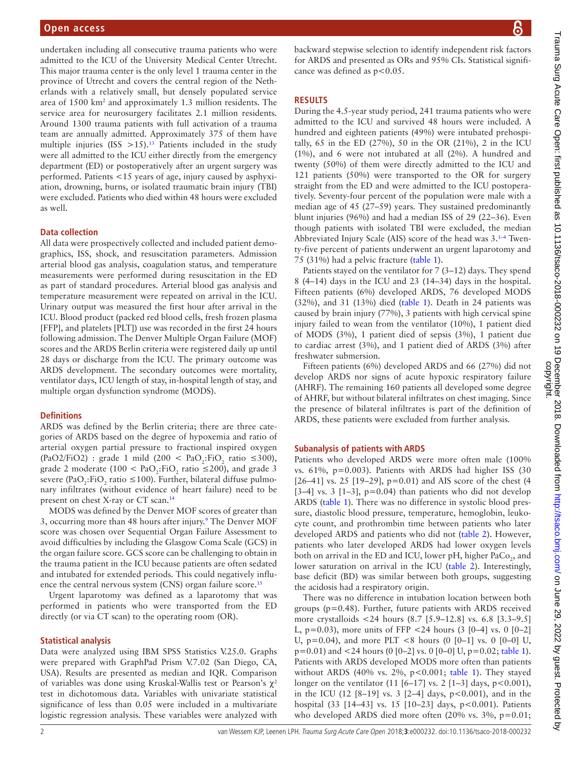undertaken including all consecutive trauma patients who were admitted to the ICU of the University Medical Center Utrecht. This major trauma center is the only level 1 trauma center in the province of Utrecht and covers the central region of the Netherlands with a relatively small, but densely populated service area of 1500 km2 and approximately 1.3 million residents. The service area for neurosurgery facilitates 2.1 million residents. Around 1300 trauma patients with full activation of a trauma team are annually admitted. Approximately 375 of them have multiple injuries (ISS  $>15$ ).<sup>13</sup> Patients included in the study were all admitted to the ICU either directly from the emergency department (ED) or postoperatively after an urgent surgery was performed. Patients <15 years of age, injury caused by asphyxiation, drowning, burns, or isolated traumatic brain injury (TBI) were excluded. Patients who died within 48 hours were excluded as well.

### **Data collection**

All data were prospectively collected and included patient demographics, ISS, shock, and resuscitation parameters. Admission arterial blood gas analysis, coagulation status, and temperature measurements were performed during resuscitation in the ED as part of standard procedures. Arterial blood gas analysis and temperature measurement were repeated on arrival in the ICU. Urinary output was measured the first hour after arrival in the ICU. Blood product (packed red blood cells, fresh frozen plasma [FFP], and platelets [PLT]) use was recorded in the first 24 hours following admission. The Denver Multiple Organ Failure (MOF) scores and the ARDS Berlin criteria were registered daily up until 28 days or discharge from the ICU. The primary outcome was ARDS development. The secondary outcomes were mortality, ventilator days, ICU length of stay, in-hospital length of stay, and multiple organ dysfunction syndrome (MODS).

#### **Definitions**

ARDS was defined by the Berlin criteria; there are three categories of ARDS based on the degree of hypoxemia and ratio of arterial oxygen partial pressure to fractional inspired oxygen (PaO2/FiO2) : grade 1 mild (200 < PaO<sub>2</sub>:FiO<sub>2</sub> ratio ≤300), grade 2 moderate (100 <  $PaO<sub>2</sub>:FiO<sub>2</sub>$  ratio ≤200), and grade 3 severe (PaO<sub>2</sub>:FiO<sub>2</sub> ratio ≤100). Further, bilateral diffuse pulmonary infiltrates (without evidence of heart failure) need to be present on chest X-ray or CT scan[.14](#page-4-6)

MODS was defined by the Denver MOF scores of greater than 3, occurring more than 48 hours after injury.<sup>[9](#page-4-7)</sup> The Denver MOF score was chosen over Sequential Organ Failure Assessment to avoid difficulties by including the Glasgow Coma Scale (GCS) in the organ failure score. GCS score can be challenging to obtain in the trauma patient in the ICU because patients are often sedated and intubated for extended periods. This could negatively influ-ence the central nervous system (CNS) organ failure score.<sup>[15](#page-4-8)</sup>

Urgent laparotomy was defined as a laparotomy that was performed in patients who were transported from the ED directly (or via CT scan) to the operating room (OR).

# **Statistical analysis**

Data were analyzed using IBM SPSS Statistics V.25.0. Graphs were prepared with GraphPad Prism V.7.02 (San Diego, CA, USA). Results are presented as median and IQR. Comparison of variables was done using Kruskal-Wallis test or Pearson's χ<sup>2</sup> test in dichotomous data. Variables with univariate statistical significance of less than 0.05 were included in a multivariate logistic regression analysis. These variables were analyzed with

backward stepwise selection to identify independent risk factors for ARDS and presented as ORs and 95% CIs. Statistical significance was defined as  $p < 0.05$ .

# **Results**

During the 4.5-year study period, 241 trauma patients who were admitted to the ICU and survived 48 hours were included. A hundred and eighteen patients (49%) were intubated prehospitally, 65 in the ED (27%), 50 in the OR (21%), 2 in the ICU (1%), and 6 were not intubated at all (2%). A hundred and twenty (50%) of them were directly admitted to the ICU and 121 patients (50%) were transported to the OR for surgery straight from the ED and were admitted to the ICU postoperatively. Seventy-four percent of the population were male with a median age of 45 (27–59) years. They sustained predominantly blunt injuries (96%) and had a median ISS of 29 (22–36). Even though patients with isolated TBI were excluded, the median Abbreviated Injury Scale (AIS) score of the head was  $3.^{1-4}$  Twenty-five percent of patients underwent an urgent laparotomy and 75 (31%) had a pelvic fracture [\(table](#page-2-0) 1).

Patients stayed on the ventilator for 7 (3–12) days. They spend 8 (4–14) days in the ICU and 23 (14–34) days in the hospital. Fifteen patients (6%) developed ARDS, 76 developed MODS (32%), and 31 (13%) died [\(table](#page-2-0) 1). Death in 24 patients was caused by brain injury (77%), 3 patients with high cervical spine injury failed to wean from the ventilator (10%), 1 patient died of MODS (3%), 1 patient died of sepsis (3%), 1 patient due to cardiac arrest (3%), and 1 patient died of ARDS (3%) after freshwater submersion.

Fifteen patients (6%) developed ARDS and 66 (27%) did not develop ARDS nor signs of acute hypoxic respiratory failure (AHRF). The remaining 160 patients all developed some degree of AHRF, but without bilateral infiltrates on chest imaging. Since the presence of bilateral infiltrates is part of the definition of ARDS, these patients were excluded from further analysis.

#### **Subanalysis of patients with ARDS**

Patients who developed ARDS were more often male (100% vs. 61%, p=0.003). Patients with ARDS had higher ISS (30 [26–41] vs. 25 [19–29], p=0.01) and AIS score of the chest (4  $[3-4]$  vs. 3  $[1-3]$ ,  $p=0.04$ ) than patients who did not develop ARDS [\(table](#page-2-0) 1). There was no difference in systolic blood pressure, diastolic blood pressure, temperature, hemoglobin, leukocyte count, and prothrombin time between patients who later developed ARDS and patients who did not ([table](#page-2-1) 2). However, patients who later developed ARDS had lower oxygen levels both on arrival in the ED and ICU, lower pH, higher  $\text{PaCo}_2^{\text{}}$ , and lower saturation on arrival in the ICU [\(table](#page-2-1) 2). Interestingly, base deficit (BD) was similar between both groups, suggesting the acidosis had a respiratory origin.

There was no difference in intubation location between both groups (p=0.48). Further, future patients with ARDS received more crystalloids <24 hours (8.7 [5.9–12.8] vs. 6.8 [3.3–9.5] L,  $p=0.03$ ), more units of FFP <24 hours (3 [0–4] vs. 0 [0–2] U,  $p=0.04$ ), and more PLT <8 hours (0 [0-1] vs. 0 [0-0] U,  $p=0.01$ ) and <24 hours (0 [0–2] vs. 0 [0–0] U,  $p=0.02$ ; [table](#page-2-0) 1). Patients with ARDS developed MODS more often than patients without ARDS (40% vs. 2%,  $p<0.001$ ; [table](#page-2-0) 1). They stayed longer on the ventilator  $(11 [6–17] \text{ vs. 2 } [1–3] \text{ days, p} < 0.001)$ , in the ICU  $(12 [8-19] \text{ vs. } 3 [2-4] \text{ days}, p < 0.001)$ , and in the hospital (33 [14-43] vs. 15 [10-23] days, p<0.001). Patients who developed ARDS died more often  $(20\% \text{ vs. } 3\%, \text{ p}=0.01;$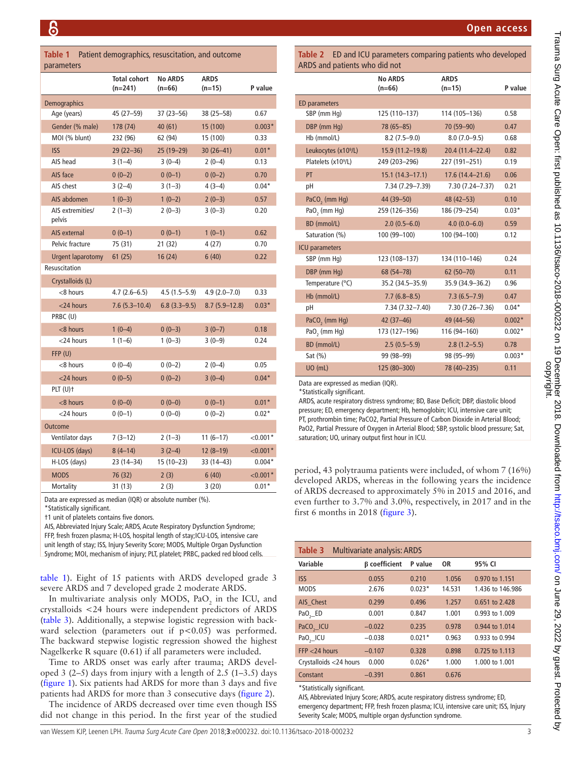<span id="page-2-0"></span>

|            | <b>Table 1</b> Patient demographics, resuscitation, and outcome |
|------------|-----------------------------------------------------------------|
| parameters |                                                                 |

|                            | <b>Total cohort</b><br>$(n=241)$ | <b>No ARDS</b><br>$(n=66)$  | <b>ARDS</b><br>$(n=15)$ | P value    |
|----------------------------|----------------------------------|-----------------------------|-------------------------|------------|
| Demographics               |                                  |                             |                         |            |
| Age (years)                | 45 (27-59)                       | 37 (23-56)<br>38 (25 - 58)  |                         | 0.67       |
| Gender (% male)            | 178 (74)                         | 40 (61)                     | 15 (100)                | $0.003*$   |
| MOI (% blunt)              | 232 (96)                         | 62 (94)<br>15 (100)         |                         | 0.33       |
| <b>ISS</b>                 | $29(22 - 36)$                    | 25 (19-29)<br>$30(26 - 41)$ |                         | $0.01*$    |
| AIS head                   | $3(1-4)$                         | $3(0-4)$<br>$2(0-4)$        |                         | 0.13       |
| AIS face                   | $0(0-2)$                         | $0(0-1)$<br>$0(0-2)$        |                         | 0.70       |
| AIS chest                  | $3(2-4)$                         | $3(1-3)$<br>$4(3-4)$        |                         | $0.04*$    |
| AIS abdomen                | $1(0-3)$                         | $1(0-2)$<br>$2(0-3)$        |                         | 0.57       |
| AIS extremities/<br>pelvis | $2(1-3)$                         | $2(0-3)$                    | $3(0-3)$                | 0.20       |
| AIS external               | $0(0-1)$                         | $0(0-1)$                    | $1(0-1)$                | 0.62       |
| Pelvic fracture            | 75 (31)                          | 21(32)                      | 4(27)                   | 0.70       |
| Urgent laparotomy          | 61(25)                           | 16(24)<br>6(40)             |                         | 0.22       |
| Resuscitation              |                                  |                             |                         |            |
| Crystalloids (L)           |                                  |                             |                         |            |
| <8 hours                   | $4.7(2.6 - 6.5)$                 | 4.5 (1.5–5.9)               | $4.9(2.0 - 7.0)$        | 0.33       |
| $<$ 24 hours               | $7.6(5.3 - 10.4)$                | $6.8(3.3-9.5)$              | $8.7(5.9-12.8)$         | $0.03*$    |
| PRBC (U)                   |                                  |                             |                         |            |
| <8 hours                   | $1(0-4)$                         | $0(0-3)$                    | $3(0-7)$                | 0.18       |
| $<$ 24 hours               | $1(1-6)$                         | $1(0-3)$                    | $3(0-9)$                | 0.24       |
| FFP (U)                    |                                  |                             |                         |            |
| <8 hours                   | $0(0-4)$                         | $0(0-2)$                    | $2(0-4)$                | 0.05       |
| $<$ 24 hours               | $0(0-5)$                         | $0(0-2)$                    | $3(0-4)$                | $0.04*$    |
| $PLT(U)$ †                 |                                  |                             |                         |            |
| $<$ 8 hours                | $0(0-0)$                         | $0(0-0)$                    | $0(0-1)$                | $0.01*$    |
| $<$ 24 hours               | $0(0-1)$                         | $0(0-0)$                    | $0(0-2)$                | $0.02*$    |
| <b>Outcome</b>             |                                  |                             |                         |            |
| Ventilator days            | $7(3-12)$                        | $2(1-3)$                    | $11(6-17)$              | $< 0.001*$ |
| ICU-LOS (days)             | $8(4-14)$                        | $3(2-4)$                    | $12(8-19)$              | $< 0.001*$ |
| H-LOS (days)               | 23 (14-34)                       | $15(10-23)$                 | 33 (14-43)              | $0.004*$   |
| <b>MODS</b>                | 76 (32)                          | 2(3)                        | 6(40)                   | $< 0.001*$ |
| Mortality                  | 31 (13)                          | 2 (3)                       | 3(20)                   | $0.01*$    |

Data are expressed as median (IQR) or absolute number (%).

\*Statistically significant.

†1 unit of platelets contains five donors.

AIS, Abbreviated Injury Scale; ARDS, Acute Respiratory Dysfunction Syndrome; FFP, fresh frozen plasma; H-LOS, hospital length of stay;ICU-LOS, intensive care unit length of stay; ISS, Injury Severity Score; MODS, Multiple Organ Dysfunction Syndrome; MOI, mechanism of injury; PLT, platelet; PRBC, packed red blood cells.

[table](#page-2-0) 1). Eight of 15 patients with ARDS developed grade 3 severe ARDS and 7 developed grade 2 moderate ARDS.

In multivariate analysis only MODS,  $PaO<sub>2</sub>$  in the ICU, and crystalloids <24 hours were independent predictors of ARDS ([table](#page-2-2) 3). Additionally, a stepwise logistic regression with backward selection (parameters out if p<0.05) was performed. The backward stepwise logistic regression showed the highest Nagelkerke R square (0.61) if all parameters were included.

Time to ARDS onset was early after trauma; ARDS developed 3 (2–5) days from injury with a length of 2.5 (1–3.5) days ([figure](#page-3-0) 1). Six patients had ARDS for more than 3 days and five patients had ARDS for more than 3 consecutive days ([figure](#page-3-1) 2).

The incidence of ARDS decreased over time even though ISS did not change in this period. In the first year of the studied <span id="page-2-1"></span>**Table 2** ED and ICU parameters comparing patients who developed  $ADDC$  and patients

| AND and patients who did not     |                            |                         |          |  |  |  |  |  |
|----------------------------------|----------------------------|-------------------------|----------|--|--|--|--|--|
|                                  | <b>No ARDS</b><br>$(n=66)$ | <b>ARDS</b><br>$(n=15)$ | P value  |  |  |  |  |  |
| ED parameters                    |                            |                         |          |  |  |  |  |  |
| SBP (mm Hq)                      | 125 (110-137)              | 114 (105-136)           | 0.58     |  |  |  |  |  |
| DBP (mm Hq)                      | 78 (65-85)                 | 70 (59-90)              | 0.47     |  |  |  |  |  |
| Hb (mmol/L)                      | $8.2(7.5-9.0)$             | $8.0(7.0-9.5)$          | 0.68     |  |  |  |  |  |
| Leukocytes (x10 <sup>9</sup> /L) | 15.9 (11.2-19.8)           | 20.4 (11.4-22.4)        | 0.82     |  |  |  |  |  |
| Platelets (x10 <sup>9</sup> /L)  | 249 (203-296)              | 227 (191-251)           | 0.19     |  |  |  |  |  |
| PT                               | $15.1(14.3 - 17.1)$        | $17.6(14.4 - 21.6)$     | 0.06     |  |  |  |  |  |
| рH                               | 7.34 (7.29-7.39)           | 7.30 (7.24-7.37)        | 0.21     |  |  |  |  |  |
| PaCO <sub>2</sub> (mm Hg)        | 44 (39-50)                 | 48 (42 - 53)            | 0.10     |  |  |  |  |  |
| PaO <sub>2</sub> (mm Hg)         | 259 (126-356)              | 186 (79-254)            | $0.03*$  |  |  |  |  |  |
| BD (mmol/L)                      | $2.0(0.5-6.0)$             | $4.0(0.0 - 6.0)$        | 0.59     |  |  |  |  |  |
| Saturation (%)                   | 100 (99-100)               | 100 (94-100)            | 0.12     |  |  |  |  |  |
| <b>ICU</b> parameters            |                            |                         |          |  |  |  |  |  |
| SBP (mm Hq)                      | 123 (108-137)              | 134 (110-146)           | 0.24     |  |  |  |  |  |
| DBP (mm Hq)                      | 68 (54-78)                 | 62 (50-70)              | 0.11     |  |  |  |  |  |
| Temperature (°C)                 | 35.2 (34.5-35.9)           | 35.9 (34.9-36.2)        | 0.96     |  |  |  |  |  |
| Hb (mmol/L)                      | $7.7(6.8 - 8.5)$           | $7.3(6.5 - 7.9)$        | 0.47     |  |  |  |  |  |
| рH                               | 7.34 (7.32-7.40)           | 7.30 (7.26-7.36)        | $0.04*$  |  |  |  |  |  |
| PaCO <sub>2</sub> (mm Hg)        | $42(37-46)$                | 49 (44 - 56)            | $0.002*$ |  |  |  |  |  |
| PaO <sub>2</sub> (mm Hg)         | 173 (127-196)              | 116 (94-160)            | $0.002*$ |  |  |  |  |  |
| BD (mmol/L)                      | $2.5(0.5-5.9)$             | $2.8(1.2 - 5.5)$        | 0.78     |  |  |  |  |  |
| Sat (%)                          | 99 (98-99)                 | 98 (95-99)              | $0.003*$ |  |  |  |  |  |
| <b>UO</b> (mL)                   | 125 (80-300)               | 78 (40-235)             | 0.11     |  |  |  |  |  |
|                                  |                            |                         |          |  |  |  |  |  |

Data are expressed as median (IQR). \*Statistically significant.

ARDS, acute respiratory distress syndrome; BD, Base Deficit; DBP, diastolic blood pressure; ED, emergency department; Hb, hemoglobin; ICU, intensive care unit; PT, prothrombin time; PaCO2, Partial Pressure of Carbon Dioxide in Arterial Blood; PaO2, Partial Pressure of Oxygen in Arterial Blood; SBP, systolic blood pressure; Sat, saturation; UO, urinary output first hour in ICU.

period, 43 polytrauma patients were included, of whom 7 (16%) developed ARDS, whereas in the following years the incidence of ARDS decreased to approximately 5% in 2015 and 2016, and even further to 3.7% and 3.0%, respectively, in 2017 and in the first 6 months in 2018 ([figure](#page-3-2) 3).

<span id="page-2-2"></span>

| Table 3                | <b>Multivariate analysis: ARDS</b> |          |        |                  |  |  |
|------------------------|------------------------------------|----------|--------|------------------|--|--|
| Variable               | <b>B</b> coefficient               | P value  | 0R     | 95% CI           |  |  |
| <b>ISS</b>             | 0.055                              | 0.210    | 1.056  | 0.970 to 1.151   |  |  |
| <b>MODS</b>            | 2.676                              | $0.023*$ | 14.531 | 1.436 to 146.986 |  |  |
| AIS Chest              | 0.299                              | 0.496    | 1.257  | 0.651 to 2.428   |  |  |
| PaO, ED                | 0.001                              | 0.847    | 1.001  | 0.993 to 1.009   |  |  |
| $PaCO,$ $ICU$          | $-0.022$                           | 0.235    | 0.978  | 0.944 to 1.014   |  |  |
| $PaO,$ $ICU$           | $-0.038$                           | $0.021*$ | 0.963  | 0.933 to 0.994   |  |  |
| $FFP < 24$ hours       | $-0.107$                           | 0.328    | 0.898  | 0.725 to 1.113   |  |  |
| Crystalloids <24 hours | 0.000                              | $0.026*$ | 1.000  | 1.000 to 1.001   |  |  |
| Constant               | $-0.391$                           | 0.861    | 0.676  |                  |  |  |

\*Statistically significant.

AIS, Abbreviated Injury Score; ARDS, acute respiratory distress syndrome; ED, emergency department; FFP, fresh frozen plasma; ICU, intensive care unit; ISS, Injury Severity Scale; MODS, multiple organ dysfunction syndrome.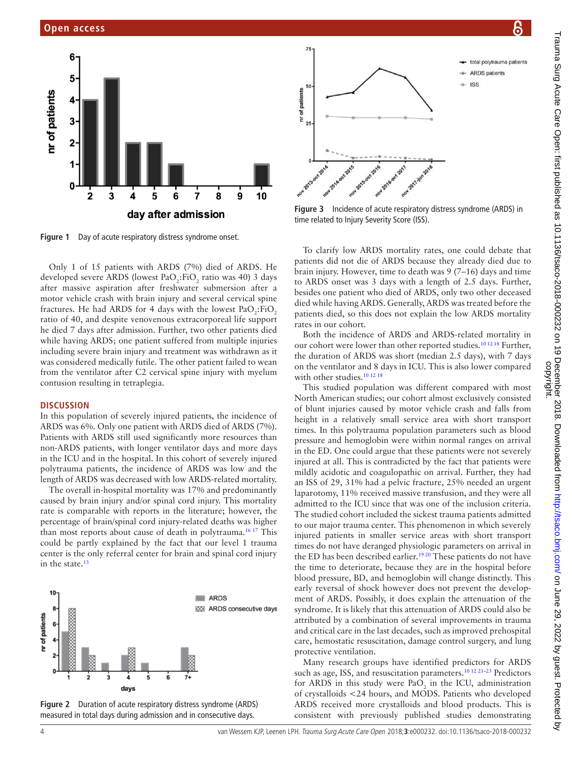

<span id="page-3-0"></span>**Figure 1** Day of acute respiratory distress syndrome onset.

Only 1 of 15 patients with ARDS (7%) died of ARDS. He developed severe ARDS (lowest  $PaO<sub>2</sub>:FiO<sub>2</sub>$  ratio was 40) 3 days after massive aspiration after freshwater submersion after a motor vehicle crash with brain injury and several cervical spine fractures. He had ARDS for 4 days with the lowest  $PaO_2$ :FiO<sub>2</sub> ratio of 40, and despite venovenous extracorporeal life support he died 7 days after admission. Further, two other patients died while having ARDS; one patient suffered from multiple injuries including severe brain injury and treatment was withdrawn as it was considered medically futile. The other patient failed to wean from the ventilator after C2 cervical spine injury with myelum contusion resulting in tetraplegia.

#### **Discussion**

In this population of severely injured patients, the incidence of ARDS was 6%. Only one patient with ARDS died of ARDS (7%). Patients with ARDS still used significantly more resources than non-ARDS patients, with longer ventilator days and more days in the ICU and in the hospital. In this cohort of severely injured polytrauma patients, the incidence of ARDS was low and the length of ARDS was decreased with low ARDS-related mortality.

The overall in-hospital mortality was 17% and predominantly caused by brain injury and/or spinal cord injury. This mortality rate is comparable with reports in the literature; however, the percentage of brain/spinal cord injury-related deaths was higher than most reports about cause of death in polytrauma[.16 17](#page-4-10) This could be partly explained by the fact that our level 1 trauma center is the only referral center for brain and spinal cord injury in the state. $13$ 



<span id="page-3-1"></span>**Figure 2** Duration of acute respiratory distress syndrome (ARDS) measured in total days during admission and in consecutive days.



75

<span id="page-3-2"></span>**Figure 3** Incidence of acute respiratory distress syndrome (ARDS) in time related to Injury Severity Score (ISS).

total polytrauma patients - ARDS patients  $\pm$  ISS

To clarify low ARDS mortality rates, one could debate that patients did not die of ARDS because they already died due to brain injury. However, time to death was 9 (7–16) days and time to ARDS onset was 3 days with a length of 2.5 days. Further, besides one patient who died of ARDS, only two other deceased died while having ARDS. Generally, ARDS was treated before the patients died, so this does not explain the low ARDS mortality rates in our cohort.

Both the incidence of ARDS and ARDS-related mortality in our cohort were lower than other reported studies.<sup>10 12 18</sup> Further, the duration of ARDS was short (median 2.5 days), with 7 days on the ventilator and 8 days in ICU. This is also lower compared with other studies.<sup>10 12 18</sup>

This studied population was different compared with most North American studies; our cohort almost exclusively consisted of blunt injuries caused by motor vehicle crash and falls from height in a relatively small service area with short transport times. In this polytrauma population parameters such as blood pressure and hemoglobin were within normal ranges on arrival in the ED. One could argue that these patients were not severely injured at all. This is contradicted by the fact that patients were mildly acidotic and coagulopathic on arrival. Further, they had an ISS of 29, 31% had a pelvic fracture, 25% needed an urgent laparotomy, 11% received massive transfusion, and they were all admitted to the ICU since that was one of the inclusion criteria. The studied cohort included the sickest trauma patients admitted to our major trauma center. This phenomenon in which severely injured patients in smaller service areas with short transport times do not have deranged physiologic parameters on arrival in the ED has been described earlier.<sup>1920</sup> These patients do not have the time to deteriorate, because they are in the hospital before blood pressure, BD, and hemoglobin will change distinctly. This early reversal of shock however does not prevent the development of ARDS. Possibly, it does explain the attenuation of the syndrome. It is likely that this attenuation of ARDS could also be attributed by a combination of several improvements in trauma and critical care in the last decades, such as improved prehospital care, hemostatic resuscitation, damage control surgery, and lung protective ventilation.

Many research groups have identified predictors for ARDS such as age, ISS, and resuscitation parameters.<sup>10 12 21-23</sup> Predictors for ARDS in this study were  $PaO<sub>2</sub>$  in the ICU, administration of crystalloids <24 hours, and MODS. Patients who developed ARDS received more crystalloids and blood products. This is consistent with previously published studies demonstrating